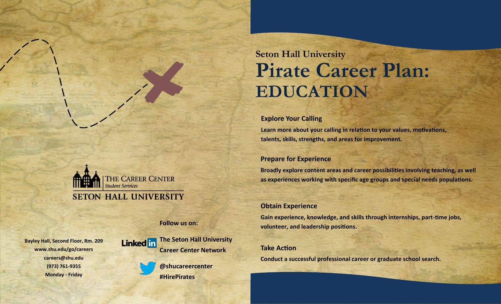# **Seton Hall University Pirate Career Plan: EDUCATION**

#### **Explore Your Calling**

**Learn more about your calling in relation to your values, motivations, talents, skills, strengths, and areas for improvement.**

#### **Prepare for Experience**

**Broadly explore content areas and career possibilities involving teaching, as well as experiences working with specific age groups and special needs populations.** 

#### **Obtain Experience**

**Gain experience, knowledge, and skills through internships, part-time jobs, volunteer, and leadership positions.**

#### **Take Action**

**Conduct a successful professional career or graduate school search.**



#### **Follow us on:**

**Bayley Hall, Second Floor, Rm. 209 www.shu.edu/go/careers careers@shu.edu (973) 761-9355 Monday - Friday** 



**@shucareercenter #HirePirates**